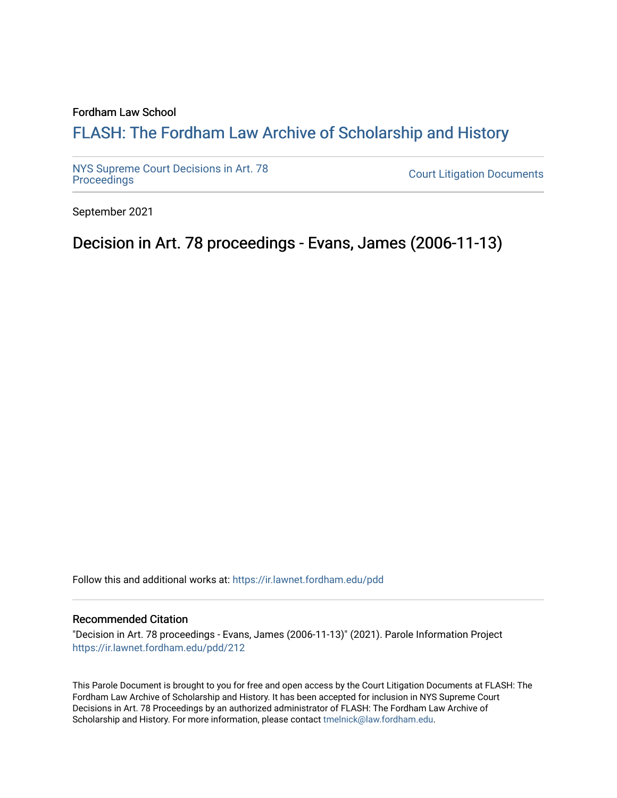# Fordham Law School

# FLASH: The For[dham Law Archive of Scholarship and Hist](https://ir.lawnet.fordham.edu/)ory

[NYS Supreme Court Decisions in Art. 78](https://ir.lawnet.fordham.edu/pdd)

**Court Litigation Documents** 

September 2021

Decision in Art. 78 proceedings - Evans, James (2006-11-13)

Follow this and additional works at: [https://ir.lawnet.fordham.edu/pdd](https://ir.lawnet.fordham.edu/pdd?utm_source=ir.lawnet.fordham.edu%2Fpdd%2F212&utm_medium=PDF&utm_campaign=PDFCoverPages)

## Recommended Citation

"Decision in Art. 78 proceedings - Evans, James (2006-11-13)" (2021). Parole Information Project [https://ir.lawnet.fordham.edu/pdd/212](https://ir.lawnet.fordham.edu/pdd/212?utm_source=ir.lawnet.fordham.edu%2Fpdd%2F212&utm_medium=PDF&utm_campaign=PDFCoverPages)

This Parole Document is brought to you for free and open access by the Court Litigation Documents at FLASH: The Fordham Law Archive of Scholarship and History. It has been accepted for inclusion in NYS Supreme Court Decisions in Art. 78 Proceedings by an authorized administrator of FLASH: The Fordham Law Archive of Scholarship and History. For more information, please contact [tmelnick@law.fordham.edu](mailto:tmelnick@law.fordham.edu).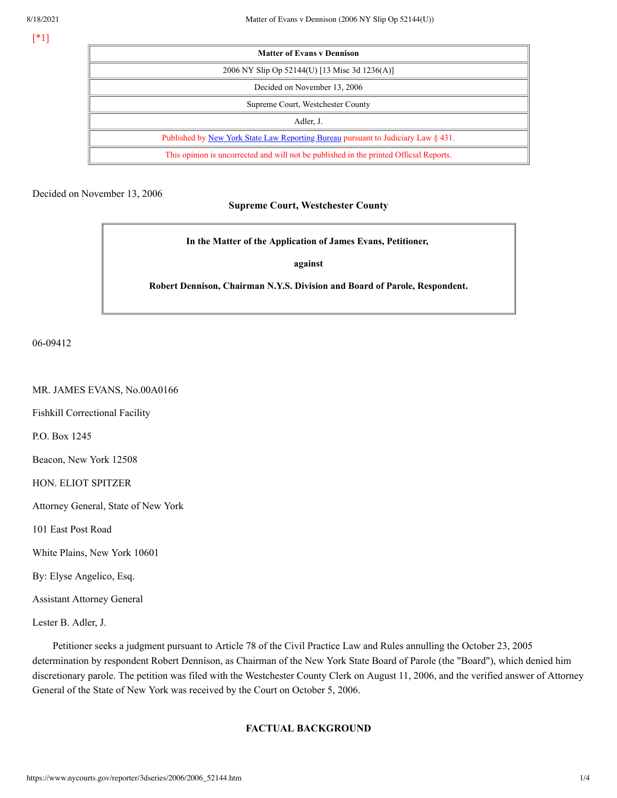[\*1]

| <b>Matter of Evans v Dennison</b>                                                      |
|----------------------------------------------------------------------------------------|
| 2006 NY Slip Op 52144(U) [13 Misc 3d 1236(A)]                                          |
| Decided on November 13, 2006                                                           |
| Supreme Court, Westchester County                                                      |
| Adler, J.                                                                              |
| Published by New York State Law Reporting Bureau pursuant to Judiciary Law § 431.      |
| This opinion is uncorrected and will not be published in the printed Official Reports. |

Decided on November 13, 2006

# **Supreme Court, Westchester County**

**In the Matter of the Application of James Evans, Petitioner,**

**against**

**Robert Dennison, Chairman N.Y.S. Division and Board of Parole, Respondent.**

06-09412

### MR. JAMES EVANS, No.00A0166

Fishkill Correctional Facility

P.O. Box 1245

Beacon, New York 12508

HON. ELIOT SPITZER

Attorney General, State of New York

101 East Post Road

White Plains, New York 10601

By: Elyse Angelico, Esq.

Assistant Attorney General

Lester B. Adler, J.

Petitioner seeks a judgment pursuant to Article 78 of the Civil Practice Law and Rules annulling the October 23, 2005 determination by respondent Robert Dennison, as Chairman of the New York State Board of Parole (the "Board"), which denied him discretionary parole. The petition was filed with the Westchester County Clerk on August 11, 2006, and the verified answer of Attorney General of the State of New York was received by the Court on October 5, 2006.

# **FACTUAL BACKGROUND**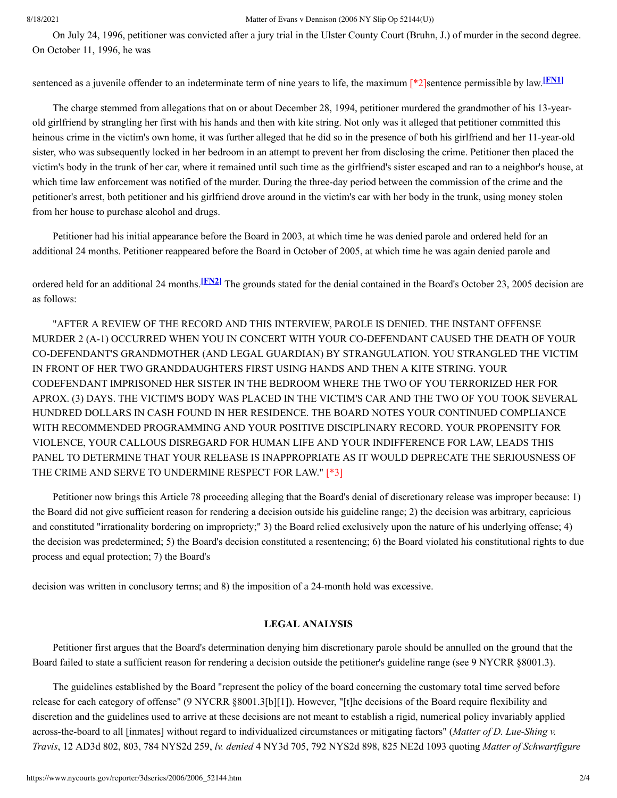### 8/18/2021 Matter of Evans v Dennison (2006 NY Slip Op 52144(U))

On July 24, 1996, petitioner was convicted after a jury trial in the Ulster County Court (Bruhn, J.) of murder in the second degree. On October 11, 1996, he was

<span id="page-2-0"></span>sentenced as a juvenile offender to an indeterminate term of nine years to life, the maximum [\*2]sentence permissible by law. [**FN1**]

The charge stemmed from allegations that on or about December 28, 1994, petitioner murdered the grandmother of his 13-yearold girlfriend by strangling her first with his hands and then with kite string. Not only was it alleged that petitioner committed this heinous crime in the victim's own home, it was further alleged that he did so in the presence of both his girlfriend and her 11-year-old sister, who was subsequently locked in her bedroom in an attempt to prevent her from disclosing the crime. Petitioner then placed the victim's body in the trunk of her car, where it remained until such time as the girlfriend's sister escaped and ran to a neighbor's house, at which time law enforcement was notified of the murder. During the three-day period between the commission of the crime and the petitioner's arrest, both petitioner and his girlfriend drove around in the victim's car with her body in the trunk, using money stolen from her house to purchase alcohol and drugs.

Petitioner had his initial appearance before the Board in 2003, at which time he was denied parole and ordered held for an additional 24 months. Petitioner reappeared before the Board in October of 2005, at which time he was again denied parole and

<span id="page-2-1"></span>ordered held for an additional 24 months.<sup>[EN2]</sup> The grounds stated for the denial contained in the Board's October 23, 2005 decision are as follows:

"AFTER A REVIEW OF THE RECORD AND THIS INTERVIEW, PAROLE IS DENIED. THE INSTANT OFFENSE MURDER 2 (A-1) OCCURRED WHEN YOU IN CONCERT WITH YOUR CO-DEFENDANT CAUSED THE DEATH OF YOUR CO-DEFENDANT'S GRANDMOTHER (AND LEGAL GUARDIAN) BY STRANGULATION. YOU STRANGLED THE VICTIM IN FRONT OF HER TWO GRANDDAUGHTERS FIRST USING HANDS AND THEN A KITE STRING. YOUR CODEFENDANT IMPRISONED HER SISTER IN THE BEDROOM WHERE THE TWO OF YOU TERRORIZED HER FOR APROX. (3) DAYS. THE VICTIM'S BODY WAS PLACED IN THE VICTIM'S CAR AND THE TWO OF YOU TOOK SEVERAL HUNDRED DOLLARS IN CASH FOUND IN HER RESIDENCE. THE BOARD NOTES YOUR CONTINUED COMPLIANCE WITH RECOMMENDED PROGRAMMING AND YOUR POSITIVE DISCIPLINARY RECORD. YOUR PROPENSITY FOR VIOLENCE, YOUR CALLOUS DISREGARD FOR HUMAN LIFE AND YOUR INDIFFERENCE FOR LAW, LEADS THIS PANEL TO DETERMINE THAT YOUR RELEASE IS INAPPROPRIATE AS IT WOULD DEPRECATE THE SERIOUSNESS OF THE CRIME AND SERVE TO UNDERMINE RESPECT FOR LAW." [\*3]

Petitioner now brings this Article 78 proceeding alleging that the Board's denial of discretionary release was improper because: 1) the Board did not give sufficient reason for rendering a decision outside his guideline range; 2) the decision was arbitrary, capricious and constituted "irrationality bordering on impropriety;" 3) the Board relied exclusively upon the nature of his underlying offense; 4) the decision was predetermined; 5) the Board's decision constituted a resentencing; 6) the Board violated his constitutional rights to due process and equal protection; 7) the Board's

decision was written in conclusory terms; and 8) the imposition of a 24-month hold was excessive.

# **LEGAL ANALYSIS**

Petitioner first argues that the Board's determination denying him discretionary parole should be annulled on the ground that the Board failed to state a sufficient reason for rendering a decision outside the petitioner's guideline range (see 9 NYCRR §8001.3).

The guidelines established by the Board "represent the policy of the board concerning the customary total time served before release for each category of offense" (9 NYCRR §8001.3[b][1]). However, "[t]he decisions of the Board require flexibility and discretion and the guidelines used to arrive at these decisions are not meant to establish a rigid, numerical policy invariably applied across-the-board to all [inmates] without regard to individualized circumstances or mitigating factors" (*Matter of D. Lue-Shing v. Travis*, 12 AD3d 802, 803, 784 NYS2d 259, *lv. denied* 4 NY3d 705, 792 NYS2d 898, 825 NE2d 1093 quoting *Matter of Schwartfigure*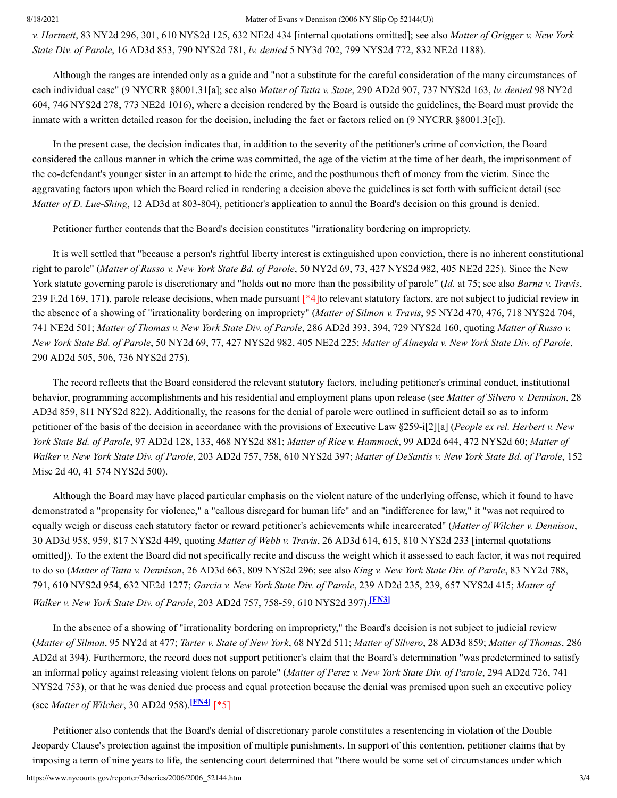#### 8/18/2021 Matter of Evans v Dennison (2006 NY Slip Op 52144(U))

*v. Hartnett*, 83 NY2d 296, 301, 610 NYS2d 125, 632 NE2d 434 [internal quotations omitted]; see also *Matter of Grigger v. New York State Div. of Parole*, 16 AD3d 853, 790 NYS2d 781, *lv. denied* 5 NY3d 702, 799 NYS2d 772, 832 NE2d 1188).

Although the ranges are intended only as a guide and "not a substitute for the careful consideration of the many circumstances of each individual case" (9 NYCRR §8001.31[a]; see also *Matter of Tatta v. State*, 290 AD2d 907, 737 NYS2d 163, *lv. denied* 98 NY2d 604, 746 NYS2d 278, 773 NE2d 1016), where a decision rendered by the Board is outside the guidelines, the Board must provide the inmate with a written detailed reason for the decision, including the fact or factors relied on (9 NYCRR §8001.3[c]).

In the present case, the decision indicates that, in addition to the severity of the petitioner's crime of conviction, the Board considered the callous manner in which the crime was committed, the age of the victim at the time of her death, the imprisonment of the co-defendant's younger sister in an attempt to hide the crime, and the posthumous theft of money from the victim. Since the aggravating factors upon which the Board relied in rendering a decision above the guidelines is set forth with sufficient detail (see *Matter of D. Lue-Shing*, 12 AD3d at 803-804), petitioner's application to annul the Board's decision on this ground is denied.

Petitioner further contends that the Board's decision constitutes "irrationality bordering on impropriety.

It is well settled that "because a person's rightful liberty interest is extinguished upon conviction, there is no inherent constitutional right to parole" (*Matter of Russo v. New York State Bd. of Parole*, 50 NY2d 69, 73, 427 NYS2d 982, 405 NE2d 225). Since the New York statute governing parole is discretionary and "holds out no more than the possibility of parole" (*Id.* at 75; see also *Barna v. Travis*, 239 F.2d 169, 171), parole release decisions, when made pursuant [\*4]to relevant statutory factors, are not subject to judicial review in the absence of a showing of "irrationality bordering on impropriety" (*Matter of Silmon v. Travis*, 95 NY2d 470, 476, 718 NYS2d 704, 741 NE2d 501; *Matter of Thomas v. New York State Div. of Parole*, 286 AD2d 393, 394, 729 NYS2d 160, quoting *Matter of Russo v.* New York State Bd. of Parole, 50 NY2d 69, 77, 427 NYS2d 982, 405 NE2d 225; Matter of Almeyda v. New York State Div. of Parole, 290 AD2d 505, 506, 736 NYS2d 275).

The record reflects that the Board considered the relevant statutory factors, including petitioner's criminal conduct, institutional behavior, programming accomplishments and his residential and employment plans upon release (see *Matter of Silvero v. Dennison*, 28 AD3d 859, 811 NYS2d 822). Additionally, the reasons for the denial of parole were outlined in sufficient detail so as to inform petitioner of the basis of the decision in accordance with the provisions of Executive Law §259-i[2][a] (*People ex rel. Herbert v. New York State Bd. of Parole*, 97 AD2d 128, 133, 468 NYS2d 881; *Matter of Rice v. Hammock*, 99 AD2d 644, 472 NYS2d 60; *Matter of* Walker v. New York State Div. of Parole, 203 AD2d 757, 758, 610 NYS2d 397; Matter of DeSantis v. New York State Bd. of Parole, 152 Misc 2d 40, 41 574 NYS2d 500).

Although the Board may have placed particular emphasis on the violent nature of the underlying offense, which it found to have demonstrated a "propensity for violence," a "callous disregard for human life" and an "indifference for law," it "was not required to equally weigh or discuss each statutory factor or reward petitioner's achievements while incarcerated" (*Matter of Wilcher v. Dennison*, 30 AD3d 958, 959, 817 NYS2d 449, quoting *Matter of Webb v. Travis*, 26 AD3d 614, 615, 810 NYS2d 233 [internal quotations omitted]). To the extent the Board did not specifically recite and discuss the weight which it assessed to each factor, it was not required to do so (*Matter of Tatta v. Dennison*, 26 AD3d 663, 809 NYS2d 296; see also *King v. New York State Div. of Parole*, 83 NY2d 788, 791, 610 NYS2d 954, 632 NE2d 1277; *Garcia v. New York State Div. of Parole*, 239 AD2d 235, 239, 657 NYS2d 415; *Matter of Walker v. New York State Div. of Parole*, 203 AD2d 757, 758-59, 610 NYS2d 397). **[\[FN3\]](#page-4-2)**

<span id="page-3-0"></span>In the absence of a showing of "irrationality bordering on impropriety," the Board's decision is not subject to judicial review (Matter of Silmon, 95 NY2d at 477; Tarter v. State of New York, 68 NY2d 511; Matter of Silvero, 28 AD3d 859; Matter of Thomas, 286 AD2d at 394). Furthermore, the record does not support petitioner's claim that the Board's determination "was predetermined to satisfy an informal policy against releasing violent felons on parole" (*Matter of Perez v. New York State Div. of Parole*, 294 AD2d 726, 741 NYS2d 753), or that he was denied due process and equal protection because the denial was premised upon such an executive policy (see *Matter of Wilcher*, 30 AD2d 958). **[\[FN4\]](#page-4-3)** [\*5]

<span id="page-3-1"></span>Petitioner also contends that the Board's denial of discretionary parole constitutes a resentencing in violation of the Double Jeopardy Clause's protection against the imposition of multiple punishments. In support of this contention, petitioner claims that by imposing a term of nine years to life, the sentencing court determined that "there would be some set of circumstances under which